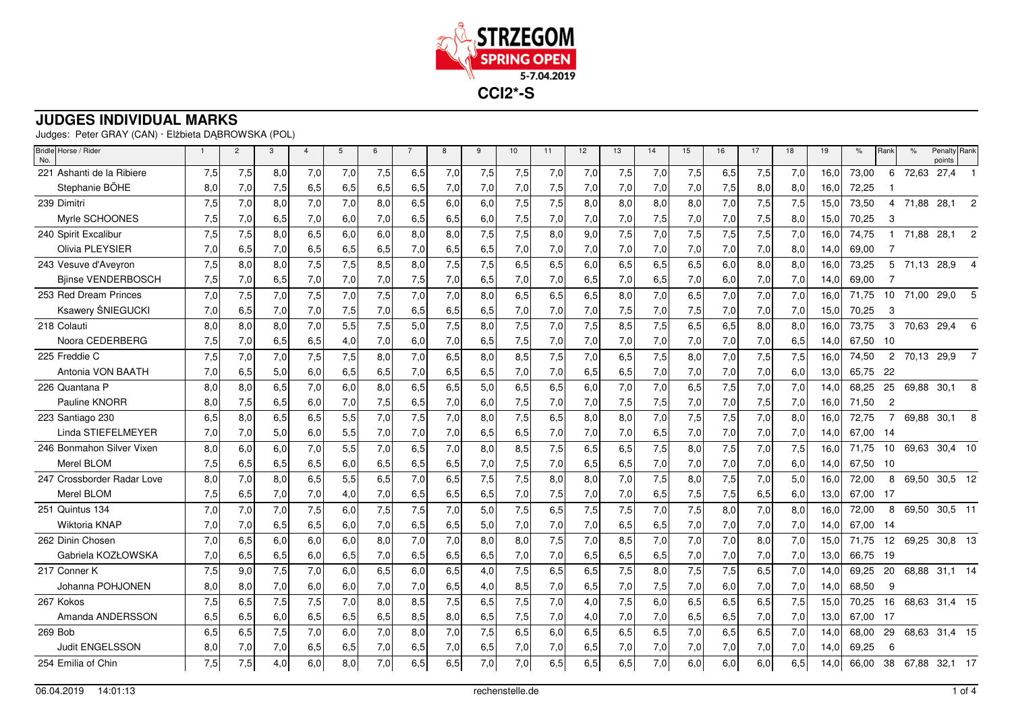

Judges: Peter GRAY (CAN) · Elżbieta DĄBROWSKA (POL)

| Bridle Horse / Rider<br>No. | $\overline{1}$ | $\overline{2}$ | 3   | $\overline{4}$ | 5   | 6   |     | 8   | 9   | 10  | 11  | 12  | 13  | 14  | 15   | 16  | 17  | 18  | 19   | $\%$  | Rank            | $\%$  | Penalty Rank<br>points |                |
|-----------------------------|----------------|----------------|-----|----------------|-----|-----|-----|-----|-----|-----|-----|-----|-----|-----|------|-----|-----|-----|------|-------|-----------------|-------|------------------------|----------------|
| 221 Ashanti de la Ribiere   | 7,5            | 7,5            | 8,0 | 7,0            | 7,0 | 7,5 | 6,5 | 7,0 | 7,5 | 7,5 | 7,0 | 7,0 | 7,5 | 7,0 | 7,5  | 6,5 | 7,5 | 7,0 | 16.0 | 73,00 | 6               | 72,63 | 27,4                   |                |
| Stephanie BÖHE              | 8,0            | 7,0            | 7,5 | 6,5            | 6,5 | 6,5 | 6,5 | 7,0 | 7,0 | 7,0 | 7,5 | 7,0 | 7,0 | 7,0 | 7,0  | 7,5 | 8,0 | 8,0 | 16,0 | 72,25 |                 |       |                        |                |
| 239 Dimitri                 | 7,5            | 7,0            | 8,0 | 7,0            | 7,0 | 8,0 | 6,5 | 6,0 | 6,0 | 7,5 | 7,5 | 8,0 | 8,0 | 8,0 | 8,0  | 7,0 | 7,5 | 7,5 | 15,0 | 73,50 | 4               |       | 71,88 28,1             | $\overline{c}$ |
| Myrle SCHOONES              | 7,5            | 7,0            | 6,5 | 7,0            | 6,0 | 7,0 | 6,5 | 6,5 | 6,0 | 7,5 | 7,0 | 7,0 | 7,0 | 7,5 | 7,0  | 7,0 | 7,5 | 8,0 | 15,0 | 70,25 | 3               |       |                        |                |
| 240 Spirit Excalibur        | 7,5            | 7,5            | 8,0 | 6,5            | 6,0 | 6,0 | 8,0 | 8,0 | 7,5 | 7,5 | 8,0 | 9,0 | 7,5 | 7,0 | 7,5  | 7,5 | 7,5 | 7,0 | 16.0 | 74.75 |                 | 71,88 | 28,1                   | 2              |
| Olivia PLEYSIER             | 7,0            | 6,5            | 7,0 | 6,5            | 6,5 | 6,5 | 7,0 | 6,5 | 6,5 | 7,0 | 7,0 | 7,0 | 7,0 | 7,0 | 7,0  | 7,0 | 7,0 | 8,0 | 14,0 | 69,00 |                 |       |                        |                |
| 243 Vesuve d'Aveyron        | 7,5            | 8,0            | 8,0 | 7,5            | 7,5 | 8,5 | 8,0 | 7,5 | 7,5 | 6,5 | 6,5 | 6,0 | 6,5 | 6,5 | 6,5  | 6,0 | 8,0 | 8.0 | 16.0 | 73,25 | 5               |       | 71,13 28,9             |                |
| <b>Biinse VENDERBOSCH</b>   | 7,5            | 7,0            | 6,5 | 7,0            | 7,0 | 7,0 | 7,5 | 7,0 | 6,5 | 7,0 | 7,0 | 6,5 | 7,0 | 6,5 | 7,0  | 6,0 | 7,0 | 7,0 | 14,0 | 69,00 |                 |       |                        |                |
| 253 Red Dream Princes       | 7,0            | 7,5            | 7,0 | 7,5            | 7,0 | 7,5 | 7,0 | 7.0 | 8,0 | 6,5 | 6,5 | 6,5 | 8,0 | 7,0 | 6,5  | 7,0 | 7,0 | 7.0 | 16.0 | 71.75 | 10 <sup>1</sup> |       | 71,00 29,0             |                |
| Ksawery ŚNIEGUCKI           | 7,0            | 6,5            | 7,0 | 7,0            | 7,5 | 7,0 | 6,5 | 6,5 | 6,5 | 7,0 | 7,0 | 7,0 | 7,5 | 7,0 | 7,5  | 7,0 | 7,0 | 7,0 | 15,0 | 70,25 | 3               |       |                        |                |
| 218 Colauti                 | 8.0            | 8.0            | 8,0 | 7,0            | 5,5 | 7,5 | 5,0 | 7,5 | 8,0 | 7,5 | 7,0 | 7,5 | 8,5 | 7,5 | 6, 5 | 6,5 | 8,0 | 8,0 | 16.0 | 73,75 | 3               | 70,63 | 29,4                   | 6              |
| Noora CEDERBERG             | 7,5            | 7,0            | 6,5 | 6,5            | 4,0 | 7,0 | 6,0 | 7,0 | 6,5 | 7,5 | 7,0 | 7,0 | 7,0 | 7,0 | 7,0  | 7,0 | 7,0 | 6,5 | 14,0 | 67,50 | -10             |       |                        |                |
| 225 Freddie C               | 7,5            | 7,0            | 7,0 | 7,5            | 7,5 | 8,0 | 7,0 | 6,5 | 8,0 | 8,5 | 7,5 | 7,0 | 6,5 | 7,5 | 8,0  | 7,0 | 7,5 | 7,5 | 16,0 | 74,50 | $\overline{2}$  |       | 70,13 29,9             | 7              |
| Antonia VON BAATH           | 7,0            | 6,5            | 5,0 | 6,0            | 6,5 | 6,5 | 7,0 | 6,5 | 6,5 | 7,0 | 7,0 | 6,5 | 6,5 | 7,0 | 7,0  | 7,0 | 7,0 | 6,0 | 13,0 | 65,75 | 22              |       |                        |                |
| 226 Quantana P              | 8.0            | 8,0            | 6,5 | 7,0            | 6,0 | 8,0 | 6,5 | 6,5 | 5,0 | 6,5 | 6,5 | 6,0 | 7,0 | 7,0 | 6,5  | 7,5 | 7,0 | 7,0 | 14.0 | 68,25 | 25              |       | 69.88 30.1             | -8             |
| Pauline KNORR               | 8,0            | 7,5            | 6,5 | 6,0            | 7,0 | 7,5 | 6,5 | 7,0 | 6,0 | 7,5 | 7,0 | 7,0 | 7,5 | 7,5 | 7,0  | 7,0 | 7,5 | 7,0 | 16,0 | 71,50 | $\overline{c}$  |       |                        |                |
| 223 Santiago 230            | 6,5            | 8,0            | 6,5 | 6,5            | 5,5 | 7,0 | 7,5 | 7,0 | 8,0 | 7,5 | 6,5 | 8,0 | 8,0 | 7,0 | 7,5  | 7,5 | 7,0 | 8,0 | 16,0 | 72,75 | $\overline{7}$  | 69,88 | 30,1                   | 8              |
| Linda STIEFELMEYER          | 7,0            | 7,0            | 5,0 | 6,0            | 5,5 | 7,0 | 7,0 | 7,0 | 6,5 | 6,5 | 7,0 | 7,0 | 7,0 | 6,5 | 7,0  | 7,0 | 7,0 | 7,0 | 14,0 | 67,00 | - 14            |       |                        |                |
| 246 Bonmahon Silver Vixen   | 8,0            | 6,0            | 6,0 | 7,0            | 5,5 | 7,0 | 6,5 | 7,0 | 8,0 | 8,5 | 7,5 | 6,5 | 6,5 | 7,5 | 8,0  | 7,5 | 7,0 | 7,5 | 16.0 | 71,75 | 10              |       | 69,63 30,4 10          |                |
| Merel BLOM                  | 7,5            | 6,5            | 6,5 | 6,5            | 6,0 | 6,5 | 6,5 | 6,5 | 7,0 | 7,5 | 7,0 | 6,5 | 6,5 | 7,0 | 7,0  | 7,0 | 7,0 | 6,0 | 14,0 | 67,50 | -10             |       |                        |                |
| 247 Crossborder Radar Love  | 8.0            | 7,0            | 8.0 | 6,5            | 5,5 | 6,5 | 7,0 | 6,5 | 7,5 | 7,5 | 8.0 | 8,0 | 7,0 | 7,5 | 8,0  | 7,5 | 7,0 | 5.0 | 16.0 | 72,00 | 8               |       | 69,50 30,5 12          |                |
| Merel BLOM                  | 7,5            | 6,5            | 7,0 | 7,0            | 4,0 | 7,0 | 6,5 | 6,5 | 6,5 | 7,0 | 7,5 | 7,0 | 7,0 | 6,5 | 7,5  | 7,5 | 6,5 | 6,0 | 13,0 | 67,00 | - 17            |       |                        |                |
| 251 Quintus 134             | 7,0            | 7,0            | 7,0 | 7,5            | 6,0 | 7,5 | 7,5 | 7,0 | 5,0 | 7,5 | 6,5 | 7,5 | 7,5 | 7,0 | 7,5  | 8,0 | 7,0 | 8,0 | 16,0 | 72,00 | 8               | 69,50 | 30,5 11                |                |
| <b>Wiktoria KNAP</b>        | 7,0            | 7,0            | 6,5 | 6,5            | 6,0 | 7,0 | 6,5 | 6,5 | 5,0 | 7,0 | 7,0 | 7,0 | 6,5 | 6,5 | 7,0  | 7,0 | 7,0 | 7,0 | 14,0 | 67,00 | -14             |       |                        |                |
| 262 Dinin Chosen            | 7,0            | 6,5            | 6,0 | 6,0            | 6,0 | 8,0 | 7,0 | 7,0 | 8,0 | 8,0 | 7,5 | 7,0 | 8,5 | 7,0 | 7,0  | 7,0 | 8,0 | 7.0 | 15.0 | 71,75 | 12              | 69,25 | 30,8 13                |                |
| Gabriela KOZŁOWSKA          | 7,0            | 6,5            | 6,5 | 6,0            | 6,5 | 7,0 | 6,5 | 6,5 | 6,5 | 7,0 | 7,0 | 6,5 | 6,5 | 6,5 | 7,0  | 7,0 | 7,0 | 7,0 | 13,0 | 66,75 | -19             |       |                        |                |
| 217 Conner K                | 7,5            | 9,0            | 7,5 | 7,0            | 6,0 | 6,5 | 6,0 | 6,5 | 4,0 | 7,5 | 6,5 | 6,5 | 7,5 | 8,0 | 7,5  | 7,5 | 6,5 | 7,0 | 14,0 | 69,25 | 20              |       | 68,88 31,1 14          |                |
| Johanna POHJONEN            | 8,0            | 8,0            | 7,0 | 6,0            | 6,0 | 7,0 | 7,0 | 6,5 | 4,0 | 8,5 | 7,0 | 6,5 | 7,0 | 7,5 | 7,0  | 6,0 | 7,0 | 7,0 | 14,0 | 68,50 | 9               |       |                        |                |
| 267 Kokos                   | 7,5            | 6,5            | 7,5 | 7,5            | 7,0 | 8,0 | 8,5 | 7,5 | 6,5 | 7,5 | 7,0 | 4,0 | 7,5 | 6,0 | 6,5  | 6,5 | 6,5 | 7,5 | 15,0 | 70,25 | 16              |       | 68,63 31,4 15          |                |
| Amanda ANDERSSON            | 6,5            | 6,5            | 6,0 | 6,5            | 6,5 | 6,5 | 8,5 | 8,0 | 6,5 | 7,5 | 7,0 | 4,0 | 7,0 | 7,0 | 6,5  | 6,5 | 7,0 | 7,0 | 13,0 | 67,00 | -17             |       |                        |                |
| 269 Bob                     | 6,5            | 6,5            | 7,5 | 7,0            | 6,0 | 7,0 | 8,0 | 7,0 | 7,5 | 6,5 | 6,0 | 6,5 | 6,5 | 6,5 | 7,0  | 6,5 | 6,5 | 7,0 | 14.0 | 68,00 | 29              |       | 68,63 31,4 15          |                |
| <b>Judit ENGELSSON</b>      | 8.0            | 7,0            | 7,0 | 6,5            | 6,5 | 7,0 | 6,5 | 7,0 | 6,5 | 7,0 | 7,0 | 6,5 | 7,0 | 7,0 | 7,0  | 7,0 | 7,0 | 7,0 | 14.0 | 69,25 | 6               |       |                        |                |
| 254 Emilia of Chin          | 7,5            | 7,5            | 4,0 | 6,0            | 8,0 | 7,0 | 6,5 | 6,5 | 7,0 | 7,0 | 6,5 | 6,5 | 6,5 | 7,0 | 6,0  | 6,0 | 6,0 | 6,5 | 14,0 | 66,00 |                 |       | 38 67,88 32,1 17       |                |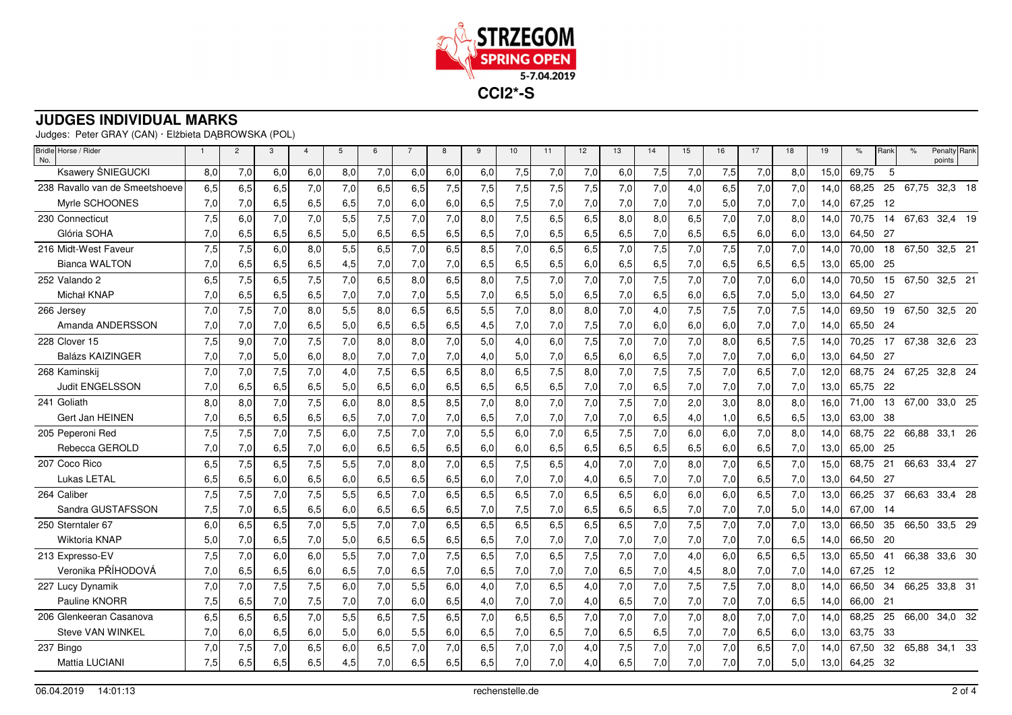

Judges: Peter GRAY (CAN) · Elżbieta DĄBROWSKA (POL)

| Bridle Horse / Rider<br>No.    | $\overline{1}$ | $\overline{2}$ | 3   | $\overline{4}$ | 5   | 6   | $\overline{7}$ | 8   | 9   | 10  | 11  | 12  | 13  | 14  | 15  | 16  | 17  | 18  | 19   | $\%$     | Rank | $\frac{9}{6}$ | Penalty Rank<br>points |
|--------------------------------|----------------|----------------|-----|----------------|-----|-----|----------------|-----|-----|-----|-----|-----|-----|-----|-----|-----|-----|-----|------|----------|------|---------------|------------------------|
| <b>Ksawery ŚNIEGUCKI</b>       | 8,0            | 7,0            | 6,0 | 6,0            | 8,0 | 7,0 | 6,0            | 6,0 | 6,0 | 7,5 | 7,0 | 7,0 | 6,0 | 7,5 | 7,0 | 7,5 | 7,0 | 8,0 | 15.0 | 69.75    | 5    |               |                        |
| 238 Ravallo van de Smeetshoeve | 6,5            | 6,5            | 6,5 | 7,0            | 7,0 | 6,5 | 6,5            | 7,5 | 7,5 | 7,5 | 7,5 | 7,5 | 7,0 | 7,0 | 4,0 | 6,5 | 7,0 | 7,0 | 14,0 | 68,25    | 25   |               | 67,75 32,3 18          |
| Myrle SCHOONES                 | 7,0            | 7,0            | 6,5 | 6,5            | 6,5 | 7,0 | 6,0            | 6,0 | 6,5 | 7,5 | 7,0 | 7,0 | 7,0 | 7,0 | 7,0 | 5,0 | 7,0 | 7,0 | 14,0 | 67,25    | -12  |               |                        |
| 230 Connecticut                | 7,5            | 6,0            | 7,0 | 7,0            | 5,5 | 7,5 | 7,0            | 7,0 | 8,0 | 7,5 | 6,5 | 6,5 | 8,0 | 8,0 | 6,5 | 7,0 | 7,0 | 8,0 | 14.0 | 70.75    | 14   |               | 67,63 32,4 19          |
| Glória SOHA                    | 7,0            | 6,5            | 6,5 | 6,5            | 5,0 | 6,5 | 6,5            | 6,5 | 6,5 | 7,0 | 6,5 | 6,5 | 6,5 | 7,0 | 6,5 | 6,5 | 6,0 | 6,0 | 13,0 | 64,50    | -27  |               |                        |
| 216 Midt-West Faveur           | 7,5            | 7,5            | 6,0 | 8,0            | 5,5 | 6,5 | 7,0            | 6,5 | 8,5 | 7,0 | 6,5 | 6,5 | 7,0 | 7,5 | 7,0 | 7,5 | 7,0 | 7,0 | 14,0 | 70,00    |      |               | 18 67,50 32,5 21       |
| <b>Bianca WALTON</b>           | 7,0            | 6,5            | 6,5 | 6,5            | 4,5 | 7,0 | 7,0            | 7,0 | 6,5 | 6,5 | 6,5 | 6,0 | 6,5 | 6,5 | 7,0 | 6,5 | 6,5 | 6,5 | 13,0 | 65,00    | -25  |               |                        |
| 252 Valando 2                  | 6,5            | 7,5            | 6,5 | 7,5            | 7,0 | 6,5 | 8,0            | 6,5 | 8,0 | 7,5 | 7,0 | 7,0 | 7,0 | 7,5 | 7,0 | 7,0 | 7,0 | 6,0 | 14,0 | 70,50    |      |               | 15 67,50 32,5 21       |
| Michał KNAP                    | 7.0            | 6,5            | 6,5 | 6,5            | 7,0 | 7,0 | 7,0            | 5,5 | 7,0 | 6,5 | 5,0 | 6,5 | 7,0 | 6,5 | 6,0 | 6,5 | 7,0 | 5,0 | 13,0 | 64,50 27 |      |               |                        |
| 266 Jersey                     | 7,0            | 7,5            | 7,0 | 8,0            | 5,5 | 8,0 | 6,5            | 6,5 | 5,5 | 7,0 | 8,0 | 8,0 | 7,0 | 4,0 | 7,5 | 7,5 | 7,0 | 7,5 | 14,0 | 69,50    |      |               | 19 67,50 32,5 20       |
| Amanda ANDERSSON               | 7,0            | 7,0            | 7,0 | 6,5            | 5,0 | 6,5 | 6,5            | 6,5 | 4,5 | 7,0 | 7,0 | 7,5 | 7,0 | 6,0 | 6,0 | 6,0 | 7,0 | 7,0 | 14,0 | 65,50    | 24   |               |                        |
| 228 Clover 15                  | 7,5            | 9.0            | 7,0 | 7,5            | 7,0 | 8,0 | 8,0            | 7,0 | 5,0 | 4,0 | 6,0 | 7,5 | 7,0 | 7,0 | 7,0 | 8,0 | 6,5 | 7,5 | 14.0 | 70,25    | 17   | 67,38         | 32,6 23                |
| <b>Balázs KAIZINGER</b>        | 7,0            | 7,0            | 5,0 | 6,0            | 8,0 | 7,0 | 7,0            | 7,0 | 4,0 | 5,0 | 7,0 | 6,5 | 6,0 | 6,5 | 7,0 | 7,0 | 7,0 | 6.0 | 13,0 | 64,50    | -27  |               |                        |
| 268 Kaminskij                  | 7.0            | 7,0            | 7,5 | 7,0            | 4,0 | 7,5 | 6,5            | 6,5 | 8,0 | 6,5 | 7,5 | 8,0 | 7,0 | 7,5 | 7,5 | 7,0 | 6,5 | 7,0 | 12,0 | 68,75    | 24   |               | 67,25 32,8 24          |
| Judit ENGELSSON                | 7,0            | 6,5            | 6,5 | 6,5            | 5,0 | 6,5 | 6,0            | 6,5 | 6,5 | 6,5 | 6,5 | 7,0 | 7,0 | 6,5 | 7,0 | 7,0 | 7,0 | 7,0 | 13,0 | 65,75    | 22   |               |                        |
| 241 Goliath                    | 8,0            | 8,0            | 7,0 | 7,5            | 6,0 | 8,0 | 8,5            | 8,5 | 7,0 | 8,0 | 7,0 | 7,0 | 7,5 | 7,0 | 2,0 | 3,0 | 8,0 | 8,0 | 16.0 | 71,00    | 13   | 67,00         | 33,0 25                |
| Gert Jan HEINEN                | 7,0            | 6,5            | 6,5 | 6,5            | 6,5 | 7,0 | 7,0            | 7,0 | 6,5 | 7,0 | 7,0 | 7,0 | 7,0 | 6,5 | 4,0 | 1,0 | 6,5 | 6,5 | 13,0 | 63.00    | -38  |               |                        |
| 205 Peperoni Red               | 7,5            | 7,5            | 7,0 | 7,5            | 6,0 | 7,5 | 7,0            | 7,0 | 5,5 | 6,0 | 7,0 | 6,5 | 7,5 | 7,0 | 6,0 | 6,0 | 7,0 | 8,0 | 14,0 | 68,75    | 22   | 66,88         | 33,1 26                |
| Rebecca GEROLD                 | 7,0            | 7,0            | 6,5 | 7,0            | 6,0 | 6,5 | 6,5            | 6,5 | 6,0 | 6,0 | 6,5 | 6,5 | 6,5 | 6,5 | 6,5 | 6,0 | 6,5 | 7,0 | 13,0 | 65,00    | -25  |               |                        |
| 207 Coco Rico                  | 6,5            | 7,5            | 6,5 | 7,5            | 5,5 | 7,0 | 8,0            | 7,0 | 6,5 | 7,5 | 6,5 | 4,0 | 7,0 | 7,0 | 8,0 | 7,0 | 6,5 | 7,0 | 15,0 | 68,75    | 21   |               | 66,63 33,4 27          |
| Lukas LETAL                    | 6,5            | 6,5            | 6,0 | 6,5            | 6,0 | 6,5 | 6,5            | 6,5 | 6,0 | 7,0 | 7,0 | 4,0 | 6,5 | 7,0 | 7,0 | 7,0 | 6,5 | 7,0 | 13,0 | 64,50 27 |      |               |                        |
| 264 Caliber                    | 7,5            | 7,5            | 7,0 | 7,5            | 5,5 | 6,5 | 7,0            | 6.5 | 6,5 | 6,5 | 7,0 | 6,5 | 6,5 | 6,0 | 6,0 | 6.0 | 6,5 | 7.0 | 13.0 | 66,25    | 37   | 66.63         | 33.4 28                |
| Sandra GUSTAFSSON              | 7,5            | 7,0            | 6,5 | 6,5            | 6,0 | 6,5 | 6,5            | 6,5 | 7,0 | 7,5 | 7,0 | 6,5 | 6,5 | 6,5 | 7,0 | 7,0 | 7,0 | 5,0 | 14,0 | 67,00    | - 14 |               |                        |
| 250 Sterntaler 67              | 6.0            | 6,5            | 6,5 | 7,0            | 5,5 | 7,0 | 7,0            | 6,5 | 6,5 | 6,5 | 6,5 | 6,5 | 6,5 | 7,0 | 7,5 | 7,0 | 7,0 | 7,0 | 13,0 | 66,50    | 35   | 66,50         | 33,5 29                |
| Wiktoria KNAP                  | 5,0            | 7,0            | 6,5 | 7,0            | 5,0 | 6,5 | 6,5            | 6,5 | 6,5 | 7,0 | 7,0 | 7,0 | 7,0 | 7,0 | 7,0 | 7,0 | 7,0 | 6,5 | 14,0 | 66,50    | -20  |               |                        |
| 213 Expresso-EV                | 7,5            | 7,0            | 6,0 | 6,0            | 5,5 | 7,0 | 7,0            | 7,5 | 6,5 | 7,0 | 6,5 | 7,5 | 7,0 | 7,0 | 4,0 | 6,0 | 6,5 | 6,5 | 13,0 | 65,50    | 41   | 66,38         | 33,6 30                |
| Veronika PŘÍHODOVÁ             | 7,0            | 6,5            | 6,5 | 6,0            | 6,5 | 7,0 | 6,5            | 7,0 | 6,5 | 7,0 | 7,0 | 7,0 | 6,5 | 7,0 | 4,5 | 8,0 | 7,0 | 7,0 | 14,0 | 67,25    | -12  |               |                        |
| 227 Lucy Dynamik               | 7,0            | 7,0            | 7,5 | 7,5            | 6,0 | 7,0 | 5,5            | 6,0 | 4,0 | 7,0 | 6,5 | 4,0 | 7,0 | 7,0 | 7,5 | 7,5 | 7,0 | 8,0 | 14,0 | 66,50    | 34   | 66,25         | 33,8 31                |
| Pauline KNORR                  | 7,5            | 6,5            | 7,0 | 7,5            | 7,0 | 7,0 | 6,0            | 6,5 | 4,0 | 7,0 | 7,0 | 4,0 | 6,5 | 7,0 | 7,0 | 7,0 | 7,0 | 6,5 | 14,0 | 66,00    | 21   |               |                        |
| 206 Glenkeeran Casanova        | 6,5            | 6,5            | 6,5 | 7,0            | 5,5 | 6,5 | 7,5            | 6,5 | 7,0 | 6,5 | 6,5 | 7,0 | 7,0 | 7,0 | 7,0 | 8,0 | 7,0 | 7,0 | 14,0 | 68,25    | 25   | 66,00         | 34,0 32                |
| Steve VAN WINKEL               | 7,0            | 6,0            | 6,5 | 6,0            | 5,0 | 6,0 | 5,5            | 6,0 | 6,5 | 7,0 | 6,5 | 7,0 | 6,5 | 6,5 | 7,0 | 7,0 | 6,5 | 6,0 | 13,0 | 63,75    | -33  |               |                        |
| 237 Bingo                      | 7.0            | 7,5            | 7,0 | 6,5            | 6,0 | 6,5 | 7,0            | 7,0 | 6,5 | 7,0 | 7,0 | 4,0 | 7,5 | 7,0 | 7,0 | 7,0 | 6,5 | 7.0 | 14.0 | 67.50    | 32   |               | 65,88 34,1 33          |
| Mattia LUCIANI                 | 7,5            | 6,5            | 6,5 | 6,5            | 4,5 | 7,0 | 6,5            | 6,5 | 6,5 | 7,0 | 7,0 | 4,0 | 6,5 | 7,0 | 7,0 | 7,0 | 7,0 | 5,0 | 13,0 | 64,25    | -32  |               |                        |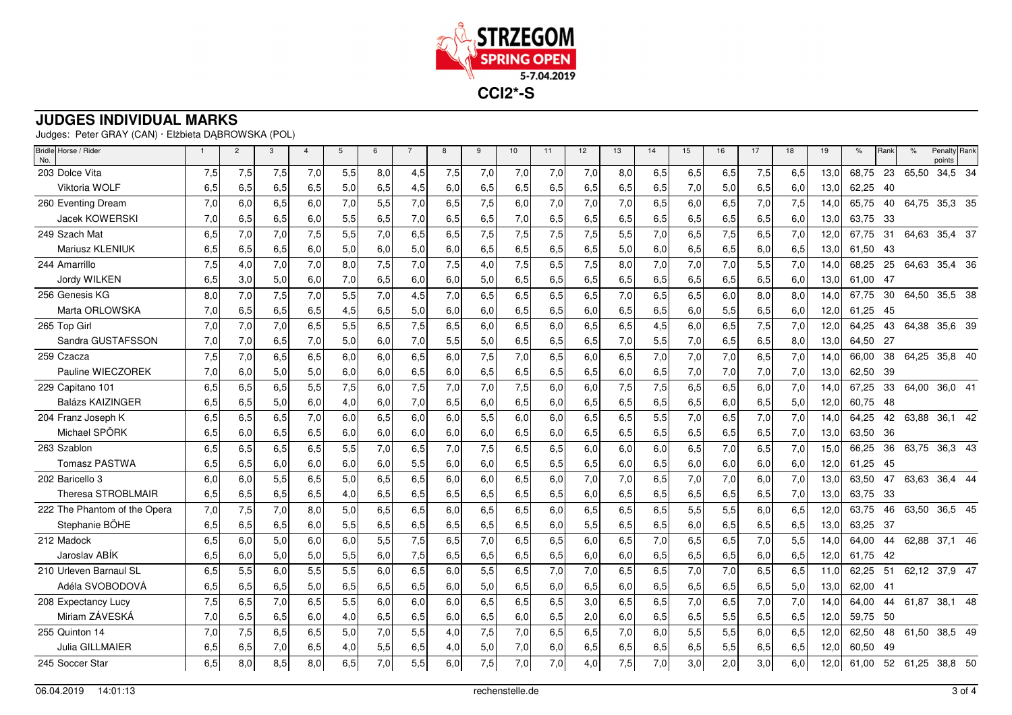

Judges: Peter GRAY (CAN) · Elżbieta DĄBROWSKA (POL)

| Bridle Horse / Rider<br>No.  | $\overline{1}$ | $\overline{2}$ | 3   | $\overline{4}$ | 5   | 6   | $\overline{7}$ | 8   | 9   | 10  | 11  | 12  | 13  | 14  | 15  | 16  | 17  | 18  | 19   | $\%$  | Rank | $\%$     | Penalty Rank<br>points |  |
|------------------------------|----------------|----------------|-----|----------------|-----|-----|----------------|-----|-----|-----|-----|-----|-----|-----|-----|-----|-----|-----|------|-------|------|----------|------------------------|--|
| 203 Dolce Vita               | 7,5            | 7,5            | 7,5 | 7,0            | 5,5 | 8,0 | 4,5            | 7,5 | 7,0 | 7,0 | 7,0 | 7,0 | 8,0 | 6,5 | 6,5 | 6,5 | 7,5 | 6,5 | 13.0 | 68,75 | 23   | 65,50    | 34,5 34                |  |
| Viktoria WOLF                | 6,5            | 6,5            | 6,5 | 6,5            | 5,0 | 6,5 | 4,5            | 6,0 | 6,5 | 6,5 | 6,5 | 6,5 | 6,5 | 6,5 | 7,0 | 5,0 | 6,5 | 6,0 | 13,0 | 62,25 | 40   |          |                        |  |
| 260 Eventing Dream           | 7,0            | 6,0            | 6,5 | 6,0            | 7,0 | 5,5 | 7,0            | 6,5 | 7,5 | 6,0 | 7,0 | 7,0 | 7,0 | 6,5 | 6,0 | 6,5 | 7,0 | 7,5 | 14,0 | 65,75 | 40   |          | 64,75 35,3 35          |  |
| <b>Jacek KOWERSKI</b>        | 7,0            | 6,5            | 6,5 | 6,0            | 5,5 | 6,5 | 7,0            | 6,5 | 6,5 | 7,0 | 6,5 | 6,5 | 6,5 | 6,5 | 6,5 | 6,5 | 6,5 | 6,0 | 13,0 | 63,75 | 33   |          |                        |  |
| 249 Szach Mat                | 6,5            | 7,0            | 7,0 | 7,5            | 5,5 | 7,0 | 6,5            | 6,5 | 7,5 | 7,5 | 7,5 | 7,5 | 5,5 | 7,0 | 6,5 | 7,5 | 6,5 | 7,0 | 12,0 | 67.75 | 31   | 64.63    | 35,4 37                |  |
| Mariusz KLENIUK              | 6,5            | 6,5            | 6,5 | 6,0            | 5,0 | 6,0 | 5,0            | 6,0 | 6,5 | 6,5 | 6,5 | 6,5 | 5,0 | 6,0 | 6,5 | 6,5 | 6,0 | 6,5 | 13,0 | 61,50 | 43   |          |                        |  |
| 244 Amarrillo                | 7,5            | 4,0            | 7,0 | 7,0            | 8,0 | 7,5 | 7,0            | 7,5 | 4,0 | 7,5 | 6,5 | 7,5 | 8,0 | 7,0 | 7,0 | 7,0 | 5,5 | 7.0 | 14,0 | 68,25 | 25   |          | 64,63 35,4 36          |  |
| Jordy WILKEN                 | 6.5            | 3.0            | 5,0 | 6,0            | 7,0 | 6,5 | 6,0            | 6,0 | 5,0 | 6,5 | 6,5 | 6,5 | 6,5 | 6,5 | 6,5 | 6,5 | 6,5 | 6,0 | 13,0 | 61.00 | -47  |          |                        |  |
| 256 Genesis KG               | 8,0            | 7,0            | 7,5 | 7,0            | 5,5 | 7,0 | 4,5            | 7,0 | 6,5 | 6,5 | 6,5 | 6,5 | 7,0 | 6,5 | 6,5 | 6,0 | 8,0 | 8,0 | 14,0 | 67,75 | 30   | 64,50    | 35,5 38                |  |
| Marta ORLOWSKA               | 7,0            | 6,5            | 6,5 | 6,5            | 4,5 | 6,5 | 5,0            | 6,0 | 6,0 | 6,5 | 6,5 | 6,0 | 6,5 | 6,5 | 6,0 | 5,5 | 6,5 | 6,0 | 12,0 | 61,25 | 45   |          |                        |  |
| 265 Top Girl                 | 7.0            | 7,0            | 7,0 | 6,5            | 5,5 | 6,5 | 7,5            | 6,5 | 6,0 | 6,5 | 6,0 | 6,5 | 6,5 | 4,5 | 6,0 | 6,5 | 7,5 | 7,0 | 12,0 | 64,25 | 43   | 64.38    | 35,6 39                |  |
| Sandra GUSTAFSSON            | 7,0            | 7,0            | 6,5 | 7,0            | 5,0 | 6,0 | 7,0            | 5,5 | 5,0 | 6,5 | 6,5 | 6,5 | 7,0 | 5,5 | 7,0 | 6,5 | 6,5 | 8,0 | 13,0 | 64,50 | -27  |          |                        |  |
| 259 Czacza                   | 7,5            | 7,0            | 6,5 | 6,5            | 6,0 | 6,0 | 6,5            | 6,0 | 7,5 | 7,0 | 6,5 | 6,0 | 6,5 | 7,0 | 7,0 | 7,0 | 6,5 | 7,0 | 14,0 | 66,00 | 38   | 64,25    | 35,8 40                |  |
| Pauline WIECZOREK            | 7.0            | 6.0            | 5,0 | 5,0            | 6,0 | 6,0 | 6,5            | 6,0 | 6,5 | 6,5 | 6,5 | 6,5 | 6,0 | 6,5 | 7,0 | 7.0 | 7,0 | 7,0 | 13,0 | 62,50 | -39  |          |                        |  |
| 229 Capitano 101             | 6,5            | 6,5            | 6,5 | 5,5            | 7,5 | 6,0 | 7,5            | 7,0 | 7,0 | 7,5 | 6,0 | 6,0 | 7,5 | 7,5 | 6,5 | 6,5 | 6,0 | 7,0 | 14,0 | 67,25 | 33   | 64,00    | 36,0 41                |  |
| <b>Balázs KAIZINGER</b>      | 6,5            | 6,5            | 5,0 | 6,0            | 4,0 | 6,0 | 7,0            | 6,5 | 6,0 | 6,5 | 6,0 | 6,5 | 6,5 | 6,5 | 6,5 | 6,0 | 6,5 | 5,0 | 12,0 | 60,75 | 48   |          |                        |  |
| 204 Franz Joseph K           | 6,5            | 6,5            | 6,5 | 7,0            | 6,0 | 6,5 | 6,0            | 6,0 | 5,5 | 6,0 | 6,0 | 6,5 | 6,5 | 5,5 | 7,0 | 6,5 | 7,0 | 7,0 | 14,0 | 64,25 | 42   | 63.88    | 36.1 42                |  |
| Michael SPÖRK                | 6,5            | 6,0            | 6,5 | 6,5            | 6,0 | 6,0 | 6,0            | 6,0 | 6,0 | 6,5 | 6,0 | 6,5 | 6,5 | 6,5 | 6,5 | 6,5 | 6,5 | 7,0 | 13,0 | 63,50 | 36   |          |                        |  |
| 263 Szablon                  | 6.5            | 6.5            | 6,5 | 6,5            | 5,5 | 7,0 | 6,5            | 7,0 | 7,5 | 6,5 | 6,5 | 6,0 | 6,0 | 6,0 | 6,5 | 7,0 | 6,5 | 7.0 | 15.0 | 66,25 | 36   |          | 63,75 36,3 43          |  |
| <b>Tomasz PASTWA</b>         | 6,5            | 6,5            | 6,0 | 6,0            | 6,0 | 6,0 | 5,5            | 6,0 | 6,0 | 6,5 | 6,5 | 6,5 | 6,0 | 6,5 | 6,0 | 6,0 | 6,0 | 6,0 | 12,0 | 61,25 | 45   |          |                        |  |
| 202 Baricello 3              | 6,0            | 6,0            | 5,5 | 6,5            | 5,0 | 6,5 | 6,5            | 6,0 | 6,0 | 6,5 | 6,0 | 7,0 | 7,0 | 6,5 | 7,0 | 7,0 | 6,0 | 7,0 | 13.0 | 63,50 | 47   |          | 63,63 36,4 44          |  |
| Theresa STROBLMAIR           | 6,5            | 6,5            | 6,5 | 6,5            | 4,0 | 6,5 | 6,5            | 6,5 | 6,5 | 6,5 | 6,5 | 6,0 | 6,5 | 6,5 | 6,5 | 6,5 | 6,5 | 7,0 | 13,0 | 63,75 | 33   |          |                        |  |
| 222 The Phantom of the Opera | 7,0            | 7,5            | 7,0 | 8,0            | 5,0 | 6,5 | 6,5            | 6.0 | 6,5 | 6,5 | 6.0 | 6,5 | 6,5 | 6,5 | 5,5 | 5,5 | 6,0 | 6,5 | 12,0 | 63,75 | 46   | 63,50    | 36,5 45                |  |
| Stephanie BÖHE               | 6,5            | 6,5            | 6,5 | 6,0            | 5,5 | 6,5 | 6,5            | 6,5 | 6,5 | 6,5 | 6,0 | 5,5 | 6,5 | 6,5 | 6,0 | 6,5 | 6,5 | 6,5 | 13,0 | 63,25 | - 37 |          |                        |  |
| 212 Madock                   | 6,5            | 6.0            | 5,0 | 6,0            | 6,0 | 5,5 | 7,5            | 6,5 | 7,0 | 6,5 | 6,5 | 6,0 | 6,5 | 7,0 | 6,5 | 6,5 | 7,0 | 5,5 | 14,0 | 64,00 | 44   | 62,88    | 37,1 46                |  |
| Jaroslav ABÍK                | 6.5            | 6,0            | 5,0 | 5,0            | 5,5 | 6,0 | 7,5            | 6,5 | 6,5 | 6,5 | 6,5 | 6,0 | 6,0 | 6,5 | 6,5 | 6,5 | 6,0 | 6,5 | 12,0 | 61.75 | -42  |          |                        |  |
| 210 Urleven Barnaul SL       | 6,5            | 5,5            | 6,0 | 5,5            | 5,5 | 6,0 | 6,5            | 6,0 | 5,5 | 6,5 | 7,0 | 7,0 | 6,5 | 6,5 | 7,0 | 7,0 | 6,5 | 6,5 | 11,0 | 62,25 | 51   |          | 62,12 37,9 47          |  |
| Adéla SVOBODOVÁ              | 6,5            | 6,5            | 6,5 | 5,0            | 6,5 | 6,5 | 6,5            | 6,0 | 5,0 | 6,5 | 6,0 | 6,5 | 6,0 | 6,5 | 6,5 | 6,5 | 6,5 | 5,0 | 13,0 | 62,00 | -41  |          |                        |  |
| 208 Expectancy Lucy          | 7,5            | 6,5            | 7,0 | 6,5            | 5,5 | 6,0 | 6,0            | 6,0 | 6,5 | 6,5 | 6,5 | 3,0 | 6,5 | 6,5 | 7,0 | 6,5 | 7,0 | 7,0 | 14,0 | 64.00 | 44   | 61,87    | 38,1 48                |  |
| Miriam ZÁVESKÁ               | 7,0            | 6,5            | 6,5 | 6,0            | 4,0 | 6,5 | 6,5            | 6,0 | 6,5 | 6,0 | 6,5 | 2,0 | 6,0 | 6,5 | 6,5 | 5,5 | 6,5 | 6,5 | 12,0 | 59,75 | 50   |          |                        |  |
| 255 Quinton 14               | 7.0            | 7,5            | 6,5 | 6,5            | 5,0 | 7,0 | 5,5            | 4,0 | 7,5 | 7,0 | 6,5 | 6,5 | 7,0 | 6,0 | 5,5 | 5,5 | 6,0 | 6,5 | 12,0 | 62,50 | 48   |          | 61,50 38,5 49          |  |
| Julia GILLMAIER              | 6,5            | 6,5            | 7,0 | 6,5            | 4,0 | 5,5 | 6,5            | 4,0 | 5,0 | 7,0 | 6,0 | 6,5 | 6,5 | 6,5 | 6,5 | 5,5 | 6,5 | 6,5 | 12,0 | 60.50 | 49   |          |                        |  |
| 245 Soccer Star              | 6,5            | 8,0            | 8,5 | 8,0            | 6,5 | 7,0 | 5,5            | 6,0 | 7,5 | 7,0 | 7,0 | 4,0 | 7,5 | 7,0 | 3,0 | 2,0 | 3,0 | 6,0 | 12,0 | 61,00 |      | 52 61,25 | 38,8 50                |  |